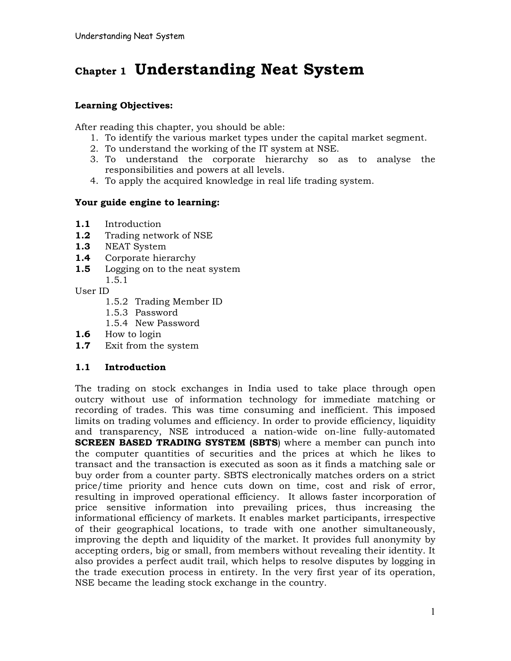# **Chapter 1 Understanding Neat System**

# **Learning Objectives:**

After reading this chapter, you should be able:

- 1. To identify the various market types under the capital market segment.
- 2. To understand the working of the IT system at NSE.
- 3. To understand the corporate hierarchy so as to analyse the responsibilities and powers at all levels.
- 4. To apply the acquired knowledge in real life trading system.

# **Your guide engine to learning:**

- **1.1** Introduction
- **1.2** Trading network of NSE
- **1.3** NEAT System
- **1.4** Corporate hierarchy
- **1.5** Logging on to the neat system
	- 1.5.1

User ID

- 1.5.2 Trading Member ID
- 1.5.3 Password
- 1.5.4 New Password
- **1.6** How to login
- **1.7** Exit from the system

# **1.1 Introduction**

The trading on stock exchanges in India used to take place through open outcry without use of information technology for immediate matching or recording of trades. This was time consuming and inefficient. This imposed limits on trading volumes and efficiency. In order to provide efficiency, liquidity and transparency, NSE introduced a nation-wide on-line fully-automated **SCREEN BASED TRADING SYSTEM (SBTS**) where a member can punch into the computer quantities of securities and the prices at which he likes to transact and the transaction is executed as soon as it finds a matching sale or buy order from a counter party. SBTS electronically matches orders on a strict price/time priority and hence cuts down on time, cost and risk of error, resulting in improved operational efficiency. It allows faster incorporation of price sensitive information into prevailing prices, thus increasing the informational efficiency of markets. It enables market participants, irrespective of their geographical locations, to trade with one another simultaneously, improving the depth and liquidity of the market. It provides full anonymity by accepting orders, big or small, from members without revealing their identity. It also provides a perfect audit trail, which helps to resolve disputes by logging in the trade execution process in entirety. In the very first year of its operation, NSE became the leading stock exchange in the country.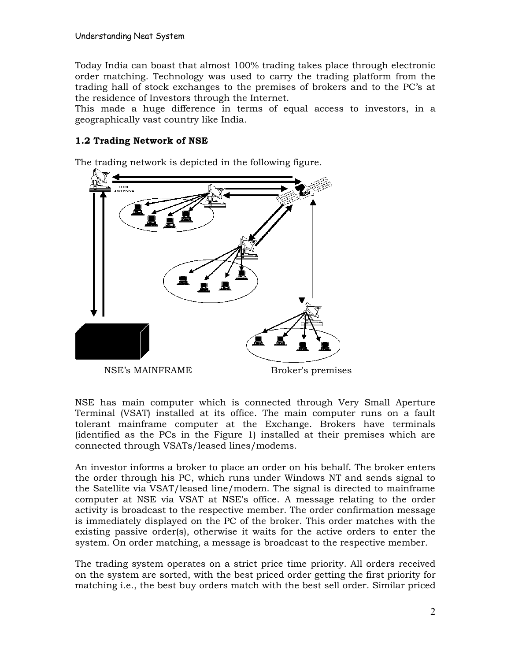Today India can boast that almost 100% trading takes place through electronic order matching. Technology was used to carry the trading platform from the trading hall of stock exchanges to the premises of brokers and to the PC's at the residence of Investors through the Internet.

This made a huge difference in terms of equal access to investors, in a geographically vast country like India.

# **1.2 Trading Network of NSE**

The trading network is depicted in the following figure.



NSE has main computer which is connected through Very Small Aperture Terminal (VSAT) installed at its office. The main computer runs on a fault tolerant mainframe computer at the Exchange. Brokers have terminals (identified as the PCs in the Figure 1) installed at their premises which are connected through VSATs/leased lines/modems.

An investor informs a broker to place an order on his behalf. The broker enters the order through his PC, which runs under Windows NT and sends signal to the Satellite via VSAT/leased line/modem. The signal is directed to mainframe computer at NSE via VSAT at NSE's office. A message relating to the order activity is broadcast to the respective member. The order confirmation message is immediately displayed on the PC of the broker. This order matches with the existing passive order(s), otherwise it waits for the active orders to enter the system. On order matching, a message is broadcast to the respective member.

The trading system operates on a strict price time priority. All orders received on the system are sorted, with the best priced order getting the first priority for matching i.e., the best buy orders match with the best sell order. Similar priced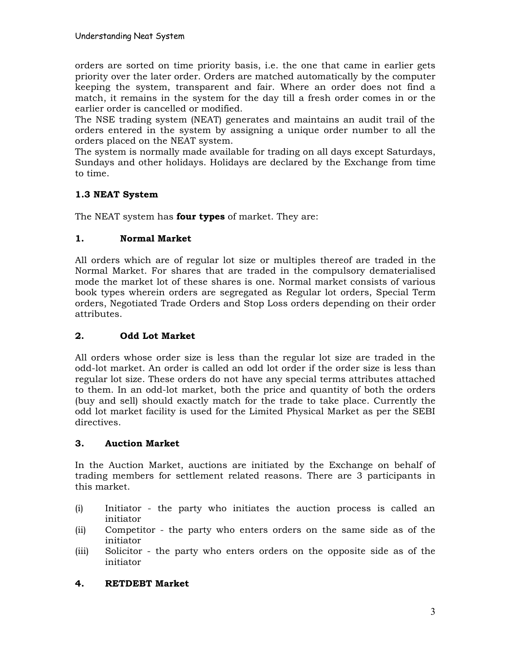orders are sorted on time priority basis, i.e. the one that came in earlier gets priority over the later order. Orders are matched automatically by the computer keeping the system, transparent and fair. Where an order does not find a match, it remains in the system for the day till a fresh order comes in or the earlier order is cancelled or modified.

The NSE trading system (NEAT) generates and maintains an audit trail of the orders entered in the system by assigning a unique order number to all the orders placed on the NEAT system.

The system is normally made available for trading on all days except Saturdays, Sundays and other holidays. Holidays are declared by the Exchange from time to time.

# **1.3 NEAT System**

The NEAT system has **four types** of market. They are:

# **1. Normal Market**

All orders which are of regular lot size or multiples thereof are traded in the Normal Market. For shares that are traded in the compulsory dematerialised mode the market lot of these shares is one. Normal market consists of various book types wherein orders are segregated as Regular lot orders, Special Term orders, Negotiated Trade Orders and Stop Loss orders depending on their order attributes.

# **2. Odd Lot Market**

All orders whose order size is less than the regular lot size are traded in the odd-lot market. An order is called an odd lot order if the order size is less than regular lot size. These orders do not have any special terms attributes attached to them. In an odd-lot market, both the price and quantity of both the orders (buy and sell) should exactly match for the trade to take place. Currently the odd lot market facility is used for the Limited Physical Market as per the SEBI directives.

# **3. Auction Market**

In the Auction Market, auctions are initiated by the Exchange on behalf of trading members for settlement related reasons. There are 3 participants in this market.

- (i) Initiator the party who initiates the auction process is called an initiator
- (ii) Competitor the party who enters orders on the same side as of the initiator
- (iii) Solicitor the party who enters orders on the opposite side as of the initiator

# **4. RETDEBT Market**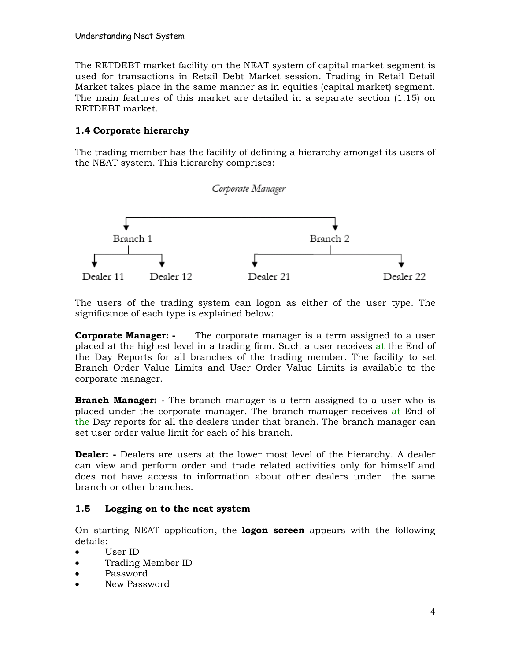The RETDEBT market facility on the NEAT system of capital market segment is used for transactions in Retail Debt Market session. Trading in Retail Detail Market takes place in the same manner as in equities (capital market) segment. The main features of this market are detailed in a separate section (1.15) on RETDEBT market.

# **1.4 Corporate hierarchy**

The trading member has the facility of defining a hierarchy amongst its users of the NEAT system. This hierarchy comprises:



The users of the trading system can logon as either of the user type. The significance of each type is explained below:

**Corporate Manager: -** The corporate manager is a term assigned to a user placed at the highest level in a trading firm. Such a user receives at the End of the Day Reports for all branches of the trading member. The facility to set Branch Order Value Limits and User Order Value Limits is available to the corporate manager.

**Branch Manager: -** The branch manager is a term assigned to a user who is placed under the corporate manager. The branch manager receives at End of the Day reports for all the dealers under that branch. The branch manager can set user order value limit for each of his branch.

**Dealer: -** Dealers are users at the lower most level of the hierarchy. A dealer can view and perform order and trade related activities only for himself and does not have access to information about other dealers under the same branch or other branches.

# **1.5 Logging on to the neat system**

On starting NEAT application, the **logon screen** appears with the following details:

- · User ID
- · Trading Member ID
- · Password
- New Password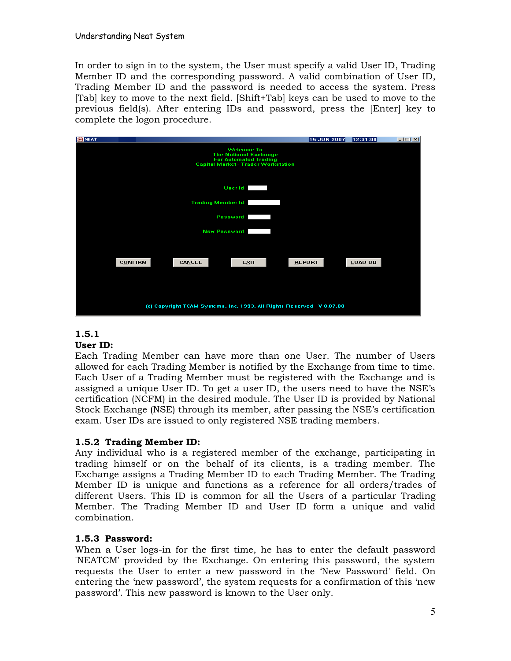In order to sign in to the system, the User must specify a valid User ID, Trading Member ID and the corresponding password. A valid combination of User ID, Trading Member ID and the password is needed to access the system. Press [Tab] key to move to the next field. [Shift+Tab] keys can be used to move to the previous field(s). After entering IDs and password, press the [Enter] key to complete the logon procedure.



# **1.5.1**

#### **User ID:**

Each Trading Member can have more than one User. The number of Users allowed for each Trading Member is notified by the Exchange from time to time. Each User of a Trading Member must be registered with the Exchange and is assigned a unique User ID. To get a user ID, the users need to have the NSE's certification (NCFM) in the desired module. The User ID is provided by National Stock Exchange (NSE) through its member, after passing the NSE's certification exam. User IDs are issued to only registered NSE trading members.

#### **1.5.2 Trading Member ID:**

Any individual who is a registered member of the exchange, participating in trading himself or on the behalf of its clients, is a trading member. The Exchange assigns a Trading Member ID to each Trading Member. The Trading Member ID is unique and functions as a reference for all orders/trades of different Users. This ID is common for all the Users of a particular Trading Member. The Trading Member ID and User ID form a unique and valid combination.

#### **1.5.3 Password:**

When a User logs-in for the first time, he has to enter the default password 'NEATCM' provided by the Exchange. On entering this password, the system requests the User to enter a new password in the 'New Password' field. On entering the 'new password', the system requests for a confirmation of this 'new password'. This new password is known to the User only.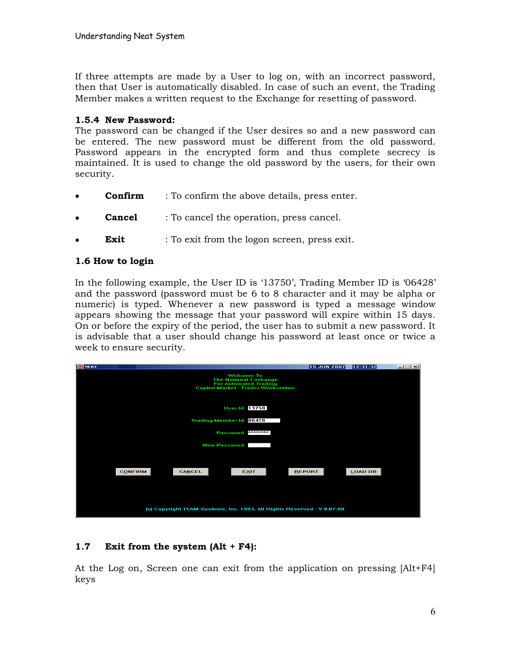If three attempts are made by a User to log on, with an incorrect password, then that User is automatically disabled. In case of such an event, the Trading Member makes a written request to the Exchange for resetting of password.

#### **1.5.4 New Password:**

The password can be changed if the User desires so and a new password can be entered. The new password must be different from the old password. Password appears in the encrypted form and thus complete secrecy is maintained. It is used to change the old password by the users, for their own security.

- **Confirm** : To confirm the above details, press enter.
- **Cancel** : To cancel the operation, press cancel.
- **Exit** : To exit from the logon screen, press exit.

# **1.6 How to login**

In the following example, the User ID is '13750', Trading Member ID is '06428' and the password (password must be 6 to 8 character and it may be alpha or numeric) is typed. Whenever a new password is typed a message window appears showing the message that your password will expire within 15 days. On or before the expiry of the period, the user has to submit a new password. It is advisable that a user should change his password at least once or twice a week to ensure security.

| <b>B</b> NEAT                                                                                                                   |        |                                | <b>15 JUN 2007</b> | 12:31:32 | $-1$ $-1$ $\times$ |  |  |  |
|---------------------------------------------------------------------------------------------------------------------------------|--------|--------------------------------|--------------------|----------|--------------------|--|--|--|
| <b>Welcome To</b><br><b>The National Exchange</b><br><b>For Automated Trading</b><br><b>Capital Market - Trader Workstation</b> |        |                                |                    |          |                    |  |  |  |
|                                                                                                                                 |        | <b>User Id 13750</b>           |                    |          |                    |  |  |  |
|                                                                                                                                 |        | <b>Trading Member Id 06428</b> |                    |          |                    |  |  |  |
| ********<br>Password                                                                                                            |        |                                |                    |          |                    |  |  |  |
| <b>New Password</b>                                                                                                             |        |                                |                    |          |                    |  |  |  |
|                                                                                                                                 |        |                                |                    |          |                    |  |  |  |
| <b>CONFIRM</b>                                                                                                                  | CANCEL | <b>EXIT</b>                    | <b>REPORT</b>      | LOAD DB  |                    |  |  |  |
|                                                                                                                                 |        |                                |                    |          |                    |  |  |  |
|                                                                                                                                 |        |                                |                    |          |                    |  |  |  |
|                                                                                                                                 |        |                                |                    |          |                    |  |  |  |
| [c] Copyright TCAM Systems, Inc. 1993, All Rights Reserved - V 8.07.00                                                          |        |                                |                    |          |                    |  |  |  |

# **1.7 Exit from the system (Alt + F4):**

At the Log on, Screen one can exit from the application on pressing [Alt+F4] keys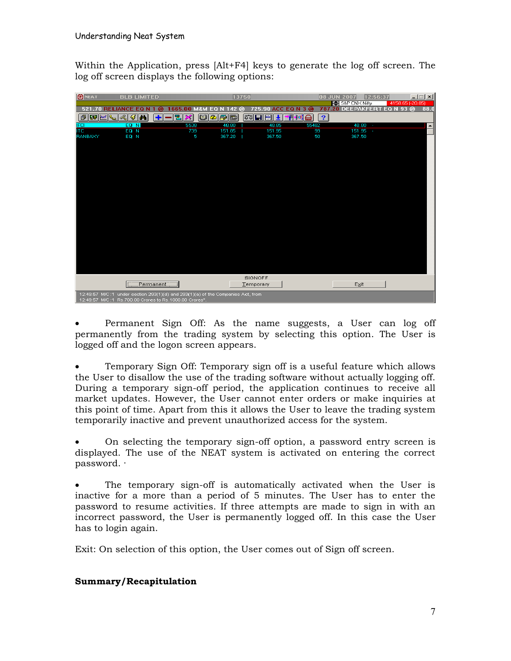Within the Application, press [Alt+F4] keys to generate the log off screen. The log off screen displays the following options:

| <b>B</b> NEAT                                                                                                                               | <b>BLB LIMITED</b>     |           |                | 13750           |                                              |             | 08 JUN 2007<br>S&P CNX Nifty | 12:56:37<br>4158.65 (-20.85) | $\Box$ |
|---------------------------------------------------------------------------------------------------------------------------------------------|------------------------|-----------|----------------|-----------------|----------------------------------------------|-------------|------------------------------|------------------------------|--------|
|                                                                                                                                             | 521.70 RELIANCE EQ N   | ര         | 1665.00 M&M EQ | 42 @<br>E.      | 725.90 ACC EQ N 3 @                          |             | 787.20 DEEPAKFERT EQ N 93 @  |                              | 88.0   |
| <b>SO MAY</b><br>đ                                                                                                                          | $\mathbf{d}$<br>蛋<br>4 | 困         | ×              | $ D 2 D $ b     | $  \mathfrak{F} \mathfrak{a}   \mathbf{H}  $ | 相様の<br> 2   |                              |                              |        |
| <b>IFCI</b><br><b>ITC</b>                                                                                                                   | EQ N<br>EQ N           |           | 5538<br>739    | 48.80<br>151.85 | 48.85<br>151.95                              | 55482<br>99 | $48.80 -$<br>151.95 -        |                              |        |
| <b>BANBAXY</b>                                                                                                                              | EQ N                   |           | 5              | 367.20          | 367.50                                       | 50          | 367.50                       |                              |        |
|                                                                                                                                             |                        |           |                |                 |                                              |             |                              |                              |        |
|                                                                                                                                             |                        |           |                |                 |                                              |             |                              |                              |        |
|                                                                                                                                             |                        |           |                |                 |                                              |             |                              |                              |        |
|                                                                                                                                             |                        |           |                |                 |                                              |             |                              |                              |        |
|                                                                                                                                             |                        |           |                |                 |                                              |             |                              |                              |        |
|                                                                                                                                             |                        |           |                |                 |                                              |             |                              |                              |        |
|                                                                                                                                             |                        |           |                |                 |                                              |             |                              |                              |        |
|                                                                                                                                             |                        |           |                |                 |                                              |             |                              |                              |        |
|                                                                                                                                             |                        |           |                |                 |                                              |             |                              |                              |        |
|                                                                                                                                             |                        |           |                |                 |                                              |             |                              |                              |        |
|                                                                                                                                             |                        |           |                |                 |                                              |             |                              |                              |        |
|                                                                                                                                             |                        |           |                |                 |                                              |             |                              |                              |        |
|                                                                                                                                             |                        |           |                |                 |                                              |             |                              |                              |        |
|                                                                                                                                             |                        |           |                |                 |                                              |             |                              |                              |        |
|                                                                                                                                             |                        | Permanent |                |                 | <b>SIGNOFF</b><br>Temporary                  |             | Exit                         |                              |        |
| 12:49:57 M/C :1 under section 293(1)(d) and 293(1)(a) of the Companies Act, from<br>12:49:57 M/C :1 Rs.700.00 Crores to Rs.1000.00 Crores". |                        |           |                |                 |                                              |             |                              |                              |        |

Permanent Sign Off: As the name suggests, a User can log off permanently from the trading system by selecting this option. The User is logged off and the logon screen appears.

· Temporary Sign Off: Temporary sign off is a useful feature which allows the User to disallow the use of the trading software without actually logging off. During a temporary sign-off period, the application continues to receive all market updates. However, the User cannot enter orders or make inquiries at this point of time. Apart from this it allows the User to leave the trading system temporarily inactive and prevent unauthorized access for the system.

· On selecting the temporary sign-off option, a password entry screen is displayed. The use of the NEAT system is activated on entering the correct password. ·

The temporary sign-off is automatically activated when the User is inactive for a more than a period of 5 minutes. The User has to enter the password to resume activities. If three attempts are made to sign in with an incorrect password, the User is permanently logged off. In this case the User has to login again.

Exit: On selection of this option, the User comes out of Sign off screen.

# **Summary/Recapitulation**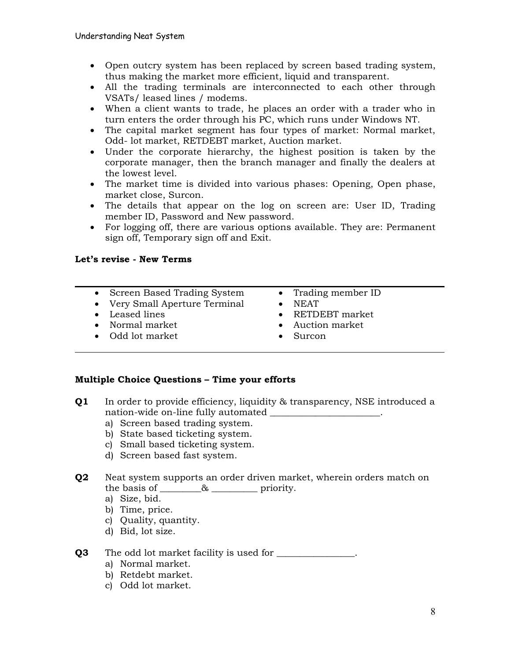- · Open outcry system has been replaced by screen based trading system, thus making the market more efficient, liquid and transparent.
- · All the trading terminals are interconnected to each other through VSATs/ leased lines / modems.
- · When a client wants to trade, he places an order with a trader who in turn enters the order through his PC, which runs under Windows NT.
- · The capital market segment has four types of market: Normal market, Odd- lot market, RETDEBT market, Auction market.
- · Under the corporate hierarchy, the highest position is taken by the corporate manager, then the branch manager and finally the dealers at the lowest level.
- · The market time is divided into various phases: Opening, Open phase, market close, Surcon.
- · The details that appear on the log on screen are: User ID, Trading member ID, Password and New password.
- · For logging off, there are various options available. They are: Permanent sign off, Temporary sign off and Exit.

#### **Let's revise - New Terms**

- · Screen Based Trading System
- · Very Small Aperture Terminal
- · Leased lines
- · Normal market
- · Odd lot market
- · Trading member ID
- · NEAT
- · RETDEBT market
- Auction market
- · Surcon

#### **Multiple Choice Questions – Time your efforts**

- **Q1** In order to provide efficiency, liquidity & transparency, NSE introduced a nation-wide on-line fully automated \_\_\_\_\_\_\_\_\_\_\_\_\_\_\_\_\_\_\_\_\_.
	- a) Screen based trading system.
	- b) State based ticketing system.
	- c) Small based ticketing system.
	- d) Screen based fast system.
- **Q2** Neat system supports an order driven market, wherein orders match on the basis of \_\_\_\_\_\_\_& \_\_\_\_\_\_\_\_\_\_ priority.
	- a) Size, bid.
	- b) Time, price.
	- c) Quality, quantity.
	- d) Bid, lot size.

#### **Q3** The odd lot market facility is used for \_\_\_\_\_\_\_\_\_\_\_\_\_\_\_.

- a) Normal market.
- b) Retdebt market.
- c) Odd lot market.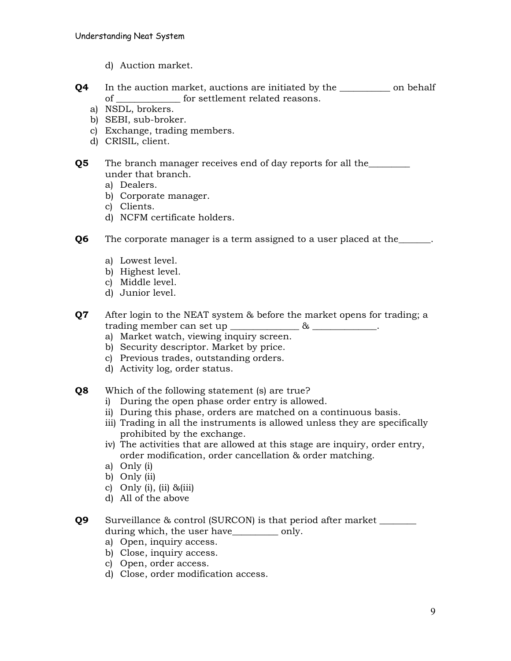- d) Auction market.
- **Q4** In the auction market, auctions are initiated by the on behalf of for settlement related reasons.
	- a) NSDL, brokers.
	- b) SEBI, sub-broker.
	- c) Exchange, trading members.
	- d) CRISIL, client.
- **Q5** The branch manager receives end of day reports for all the <u>second</u> under that branch.
	- a) Dealers.
	- b) Corporate manager.
	- c) Clients.
	- d) NCFM certificate holders.

**Q6** The corporate manager is a term assigned to a user placed at the

- a) Lowest level.
- b) Highest level.
- c) Middle level.
- d) Junior level.
- **Q7** After login to the NEAT system & before the market opens for trading; a trading member can set up  $\infty$ 
	- a) Market watch, viewing inquiry screen.
	- b) Security descriptor. Market by price.
	- c) Previous trades, outstanding orders.
	- d) Activity log, order status.
- **Q8** Which of the following statement (s) are true?
	- i) During the open phase order entry is allowed.
	- ii) During this phase, orders are matched on a continuous basis.
	- iii) Trading in all the instruments is allowed unless they are specifically prohibited by the exchange.
	- iv) The activities that are allowed at this stage are inquiry, order entry, order modification, order cancellation & order matching.
	- a) Only (i)
	- b) Only (ii)
	- c) Only (i), (ii)  $&(iii)$
	- d) All of the above

**Q9** Surveillance & control (SURCON) is that period after market \_\_\_\_\_\_\_\_ during which, the user have \_\_\_\_\_\_\_\_\_\_\_ only.

- a) Open, inquiry access.
- b) Close, inquiry access.
- c) Open, order access.
- d) Close, order modification access.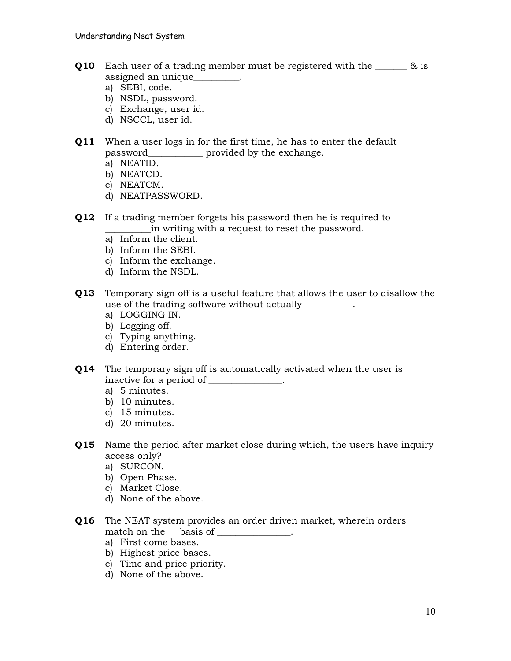- **Q10** Each user of a trading member must be registered with the  $\alpha$  is assigned an unique\_\_\_\_\_\_\_\_\_\_.
	- a) SEBI, code.
	- b) NSDL, password.
	- c) Exchange, user id.
	- d) NSCCL, user id.

# **Q11** When a user logs in for the first time, he has to enter the default password\_\_\_\_\_\_\_\_\_\_\_\_ provided by the exchange.

- a) NEATID.
- b) NEATCD.
- c) NEATCM.
- d) NEATPASSWORD.
- **Q12** If a trading member forgets his password then he is required to \_\_\_\_\_\_\_\_\_\_in writing with a request to reset the password.
	- a) Inform the client.
	- b) Inform the SEBI.
	- c) Inform the exchange.
	- d) Inform the NSDL.
- **Q13** Temporary sign off is a useful feature that allows the user to disallow the use of the trading software without actually  $\qquad \qquad$ .
	- a) LOGGING IN.
	- b) Logging off.
	- c) Typing anything.
	- d) Entering order.
- **Q14** The temporary sign off is automatically activated when the user is inactive for a period of \_\_\_\_\_\_\_\_\_\_\_\_\_.
	- a) 5 minutes.
	- b) 10 minutes.
	- c) 15 minutes.
	- d) 20 minutes.
- **Q15** Name the period after market close during which, the users have inquiry access only?
	- a) SURCON.
	- b) Open Phase.
	- c) Market Close.
	- d) None of the above.
- **Q16** The NEAT system provides an order driven market, wherein orders match on the basis of \_\_\_\_\_\_\_\_\_\_\_\_\_.
	- a) First come bases.
	- b) Highest price bases.
	- c) Time and price priority.
	- d) None of the above.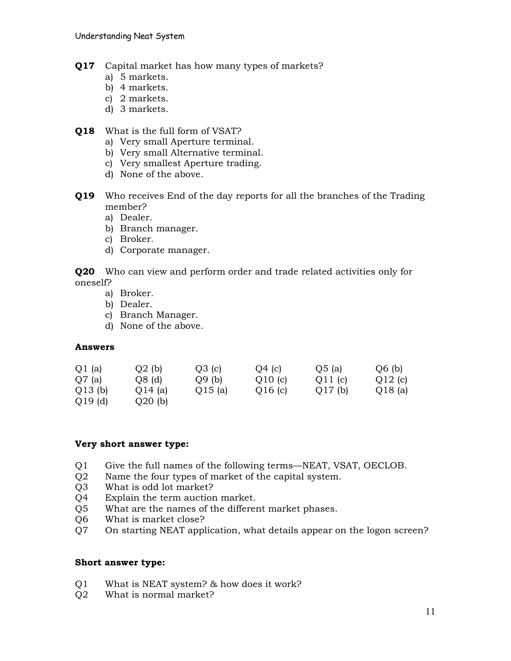- **Q17** Capital market has how many types of markets?
	- a) 5 markets.
	- b) 4 markets.
	- c) 2 markets.
	- d) 3 markets.
- **Q18** What is the full form of VSAT?
	- a) Very small Aperture terminal.
	- b) Very small Alternative terminal.
	- c) Very smallest Aperture trading.
	- d) None of the above.
- **Q19** Who receives End of the day reports for all the branches of the Trading member?
	- a) Dealer.
	- b) Branch manager.
	- c) Broker.
	- d) Corporate manager.

**Q20** Who can view and perform order and trade related activities only for oneself?

- a) Broker.
- b) Dealer.
- c) Branch Manager.
- d) None of the above.

#### **Answers**

| $Q1$ (a)  | $Q2$ (b)  | Q3(c)  | O4(c)  | Q5(a)     | Q6(b)  |
|-----------|-----------|--------|--------|-----------|--------|
| $Q7$ (a)  | $Q8$ (d)  | O9(b)  | Q10(c) | Q11(c)    | Q12(c) |
| Q13(b)    | Q14(a)    | Q15(a) | Q16(c) | $Q17$ (b) | Q18(a) |
| $Q19$ (d) | $Q20$ (b) |        |        |           |        |

#### **Very short answer type:**

- Q1 Give the full names of the following terms—NEAT, VSAT, OECLOB.
- Q2 Name the four types of market of the capital system.
- Q3 What is odd lot market?
- Q4 Explain the term auction market.
- Q5 What are the names of the different market phases.
- Q6 What is market close?
- Q7 On starting NEAT application, what details appear on the logon screen?

#### **Short answer type:**

- Q1 What is NEAT system? & how does it work?
- Q2 What is normal market?